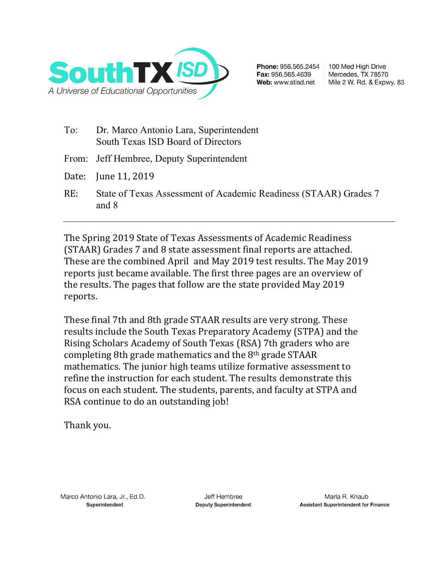

Phone: 956.565.2454 Fax: 956.565.4639 Web: www.stisd.net

100 Med High Drive Mercedes, TX 78570 Mile 2 W. Rd. & Expwy. 83

- To: Dr. Marco Antonio Lara, Superintendent South Texas ISD Board of Directors
- From: Jeff Hembree, Deputy Superintendent
- Date: June 11, 2019
- RE: State of Texas Assessment of Academic Readiness (STAAR) Grades 7 and 8

The Spring 2019 State of Texas Assessments of Academic Readiness (STAAR) Grades 7 and 8 state assessment final reports are attached. These are the combined April and May 2019 test results. The May 2019 reports just became available. The first three pages are an overview of the results. The pages that follow are the state provided May 2019 reports.

These final 7th and 8th grade STAAR results are very strong. These results include the South Texas Preparatory Academy (STPA) and the Rising Scholars Academy of South Texas (RSA) 7th graders who are completing 8th grade mathematics and the 8<sup>th</sup> grade STAAR mathematics. The junior high teams utilize formative assessment to refine the instruction for each student. The results demonstrate this focus on each student. The students, parents, and faculty at STPA and RSA continue to do an outstanding job!

Thank you.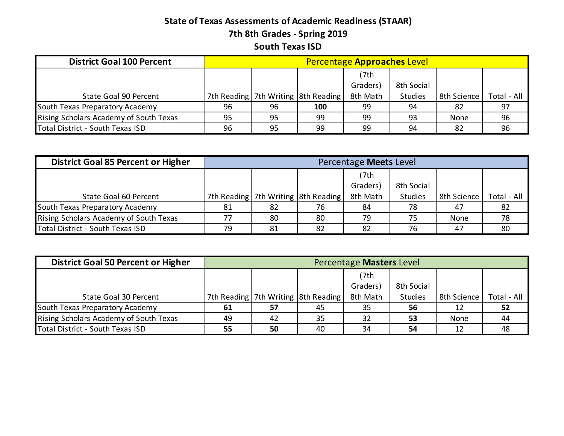## **State of Texas Assessments of Academic Readiness (STAAR) 7th 8th Grades - Spring 2019 South Texas ISD**

| <b>District Goal 100 Percent</b>       |    |    |                                         | Percentage Approaches Level |                |             |             |
|----------------------------------------|----|----|-----------------------------------------|-----------------------------|----------------|-------------|-------------|
|                                        |    |    |                                         | (7th                        |                |             |             |
|                                        |    |    |                                         | Graders)                    | 8th Social     |             |             |
| State Goal 90 Percent                  |    |    | 7th Reading   7th Writing   8th Reading | 8th Math                    | <b>Studies</b> | 8th Science | Total - All |
| South Texas Preparatory Academy        | 96 | 96 | 100                                     | 99                          | 94             | 82          | 97          |
| Rising Scholars Academy of South Texas | 95 | 95 | 99                                      | 99                          | 93             | None        | 96          |
| Total District - South Texas ISD       | 96 | 95 | 99                                      | 99                          | 94             | -82         | 96          |

| <b>District Goal 85 Percent or Higher</b> |    |    |                                         | Percentage Meets Level |                |             |             |
|-------------------------------------------|----|----|-----------------------------------------|------------------------|----------------|-------------|-------------|
|                                           |    |    |                                         | (7th                   |                |             |             |
|                                           |    |    |                                         | Graders)               | 8th Social     |             |             |
| State Goal 60 Percent                     |    |    | 7th Reading   7th Writing   8th Reading | 8th Math               | <b>Studies</b> | 8th Science | Total - All |
| South Texas Preparatory Academy           | 81 | 82 | 76                                      | 84                     | 78             | 47          | 82          |
| Rising Scholars Academy of South Texas    |    | 80 | 80                                      | 79                     | 75             | None        | 78          |
| Total District - South Texas ISD          | 79 | 81 | 82                                      | 82                     | 76             | 47          | 80          |

| <b>District Goal 50 Percent or Higher</b> |    |    |                                     | Percentage Masters Level |                |             |             |
|-------------------------------------------|----|----|-------------------------------------|--------------------------|----------------|-------------|-------------|
|                                           |    |    |                                     | (7th                     |                |             |             |
|                                           |    |    |                                     | Graders)                 | 8th Social     |             |             |
| State Goal 30 Percent                     |    |    | 7th Reading 7th Writing 8th Reading | 8th Math                 | <b>Studies</b> | 8th Science | Total - All |
| South Texas Preparatory Academy           | 61 | 57 | 45                                  | 35                       | 56             | 12          | 52          |
| Rising Scholars Academy of South Texas    | 49 | 42 | 35                                  | 32                       | 53             | None        | 44          |
| Total District - South Texas ISD          | 55 | 50 | 40                                  | 34                       | 54             | 12          | 48          |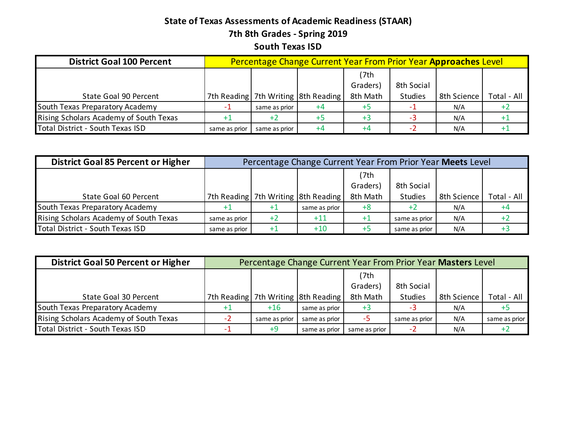## **State of Texas Assessments of Academic Readiness (STAAR) 7th 8th Grades - Spring 2019 South Texas ISD**

| <b>District Goal 100 Percent</b>       |               |               | Percentage Change Current Year From Prior Year Approaches Level |          |                |             |             |
|----------------------------------------|---------------|---------------|-----------------------------------------------------------------|----------|----------------|-------------|-------------|
|                                        |               |               |                                                                 | (7th     |                |             |             |
|                                        |               |               |                                                                 | Graders) | 8th Social     |             |             |
| State Goal 90 Percent                  |               |               | 7th Reading 7th Writing 8th Reading                             | 8th Math | <b>Studies</b> | 8th Science | Total - All |
| South Texas Preparatory Academy        |               | same as prior | +4                                                              | $+5$     |                | N/A         |             |
| Rising Scholars Academy of South Texas |               | $+2$          |                                                                 | $+3$     |                | N/A         |             |
| Total District - South Texas ISD       | same as prior | same as prior | $+4$                                                            | +4       |                | N/A         |             |

| <b>District Goal 85 Percent or Higher</b> |               |      | Percentage Change Current Year From Prior Year Meets Level |          |                |             |             |
|-------------------------------------------|---------------|------|------------------------------------------------------------|----------|----------------|-------------|-------------|
|                                           |               |      |                                                            | (7th     |                |             |             |
|                                           |               |      |                                                            | Graders) | 8th Social     |             |             |
| State Goal 60 Percent                     |               |      | 7th Reading   7th Writing   8th Reading                    | 8th Math | <b>Studies</b> | 8th Science | Total - All |
| South Texas Preparatory Academy           |               |      | same as prior                                              | $+8$     |                | N/A         |             |
| Rising Scholars Academy of South Texas    | same as prior | $+2$ | $+11$                                                      |          | same as prior  | N/A         |             |
| Total District - South Texas ISD          | same as prior | $+1$ | $+10$                                                      | +5       | same as prior  | N/A         |             |

| <b>District Goal 50 Percent or Higher</b> |                        |               | Percentage Change Current Year From Prior Year Masters Level |               |                |             |               |  |  |  |  |  |
|-------------------------------------------|------------------------|---------------|--------------------------------------------------------------|---------------|----------------|-------------|---------------|--|--|--|--|--|
|                                           |                        |               |                                                              | (7th          |                |             |               |  |  |  |  |  |
|                                           | 8th Social<br>Graders) |               |                                                              |               |                |             |               |  |  |  |  |  |
| State Goal 30 Percent                     |                        |               | 7th Reading 7th Writing 8th Reading                          | 8th Math      | <b>Studies</b> | 8th Science | Total - All   |  |  |  |  |  |
| South Texas Preparatory Academy           |                        | $+16$         | same as prior                                                | $+3$          |                | N/A         |               |  |  |  |  |  |
| Rising Scholars Academy of South Texas    |                        | same as prior | same as prior                                                | -5            | same as prior  | N/A         | same as prior |  |  |  |  |  |
| Total District - South Texas ISD          |                        | $+9$          | same as prior                                                | same as prior |                | N/A         |               |  |  |  |  |  |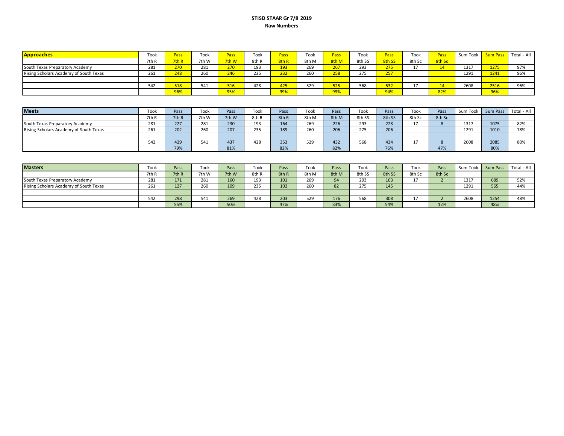#### **STISD STAAR Gr 7/8 2019 Raw Numbers**

| <b>Approaches</b>                      | Took  | Pass               | Took  | Pass  | Took  | Pass <sup>1</sup> | Took  | Pass       | Took   | Pass   | Took   | Pass   | Sum Took | <b>Sum Pas</b> | Total - All |
|----------------------------------------|-------|--------------------|-------|-------|-------|-------------------|-------|------------|--------|--------|--------|--------|----------|----------------|-------------|
|                                        | 7th R | 7th R              | 7th W | 7th W | 8th R | 8th R             | 8th M | 8th M      | 8th SS | 8th SS | 8th Sc | 8th Sc |          |                |             |
| South Texas Preparatory Academy        | 281   | 270                | 281   | 270   | 193   | 193               | 269   | 267        | 293    | 275    |        |        | 1317     | 1275           | 97%         |
| Rising Scholars Academy of South Texas | 261   | 248                | 260   | 246   | 235   | 232               | 260   | 750<br>دەد | 275    | 257    |        |        | 1291     | 1241           | 96%         |
|                                        |       |                    |       |       |       |                   |       |            |        |        |        |        |          |                |             |
|                                        | 542   | <b>E10</b><br>07 د | 541   | 516   | 428   | 425               | 529   | 525        | 568    | 532    |        |        | 2608     | 2516           | 96%         |
|                                        |       | 96%                |       | 95%   |       | 99%               |       | 99%        |        | 94%    |        | 82%    |          | 96%            |             |

| <b>Meets</b>                           | Took  | Pass  | Took  | Pass  | Took  | Pass  | Took  | Pass  | Took   | Pass   | Took   | Pass   | Sum Took | Sum Pass | Total - All |
|----------------------------------------|-------|-------|-------|-------|-------|-------|-------|-------|--------|--------|--------|--------|----------|----------|-------------|
|                                        | 7th R | 7th R | 7th W | 7th W | 8th R | 8th R | 8th M | 8th M | 8th SS | 8th SS | 8th Sc | 8th Sc |          |          |             |
| South Texas Preparatory Academy        | 281   | 227   | 281   | 230   | 193   | 164   | 269   | 226   | 293    | 228    |        |        | 1317     | 1075     | 82%         |
| Rising Scholars Academy of South Texas | 261   | 202   | 260   | 207   | 235   | 189   | 260   | 206   | 275    | 206    |        |        | 1291     | 1010     | 78%         |
|                                        |       |       |       |       |       |       |       |       |        |        |        |        |          |          |             |
|                                        | 542   | 429   | 541   | 437   | 428   | 353   | 529   | 432   | 568    | 434    |        |        | 2608     | 2085     | 80%         |
|                                        |       | 79%   |       | 81%   |       | 82%   |       | 82%   |        | 76%    |        | 47%    |          | 80%      |             |

| <b>Masters</b>                         | Took  | Pass  | Took  | Pass  | Took  | Pass  | Took  | Pass  | Took   | Pass   | Took   | Pass   | Sum Took | Sum Pass | Total - All |
|----------------------------------------|-------|-------|-------|-------|-------|-------|-------|-------|--------|--------|--------|--------|----------|----------|-------------|
|                                        | 7th R | 7th R | 7th W | 7th W | 8th R | 8th R | 8th M | 8th M | 8th SS | 8th SS | 8th Sc | 8th Sc |          |          |             |
| South Texas Preparatory Academy        | 281   | 171   | 281   | 160   | 193   | 101   | 269   | 94    | 293    | 163    |        |        | 1317     | 689      | 52%         |
| Rising Scholars Academy of South Texas | 261   | 127   | 260   | 109   | 235   | 102   | 260   | 82    | 275    | 145    |        |        | 1291     | 565      | 44%         |
|                                        |       |       |       |       |       |       |       |       |        |        |        |        |          |          |             |
|                                        | 542   | 298   | 541   | 269   | 428   | 203   | 529   | 176   | 568    | 308    |        |        | 2608     | 1254     | 48%         |
|                                        |       | 55%   |       | 50%   |       | 47%   |       | 33%   |        | 54%    |        | 12%    |          | 48%      |             |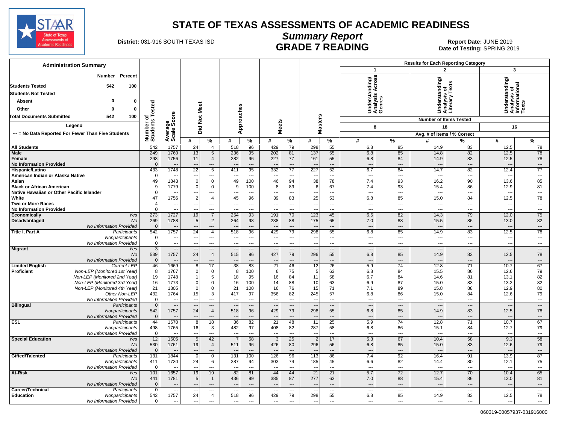

#### **Summary Report** District: 031-916 SOUTH TEXAS ISD **COMMANO COMPROVERSING**<br>Date of Testing: SPRING 2019 **GRADE 7 READING**

Date of Testing: SPRING 2019

| <b>Administration Summary</b>                                                           |                       |                                     |                                              |                          |                                    |                          |                                 |                          |                                                      |                      |                                             |                          | <b>Results for Each Reporting Category</b> |                                |                                                |                                |
|-----------------------------------------------------------------------------------------|-----------------------|-------------------------------------|----------------------------------------------|--------------------------|------------------------------------|--------------------------|---------------------------------|--------------------------|------------------------------------------------------|----------------------|---------------------------------------------|--------------------------|--------------------------------------------|--------------------------------|------------------------------------------------|--------------------------------|
|                                                                                         |                       |                                     |                                              |                          |                                    |                          |                                 |                          |                                                      |                      | $\mathbf{1}$                                |                          |                                            | $\overline{2}$                 | 3                                              |                                |
| Percent<br>Number<br>542<br>100<br><b>Students Tested</b><br><b>Students Not Tested</b> |                       |                                     |                                              |                          |                                    |                          |                                 |                          |                                                      |                      | Understanding/<br>Analysis Across<br>Genres |                          | rstanding/<br>rsis of                      | Tex                            | Understanding/<br>Analysis of<br>Informational |                                |
| <b>Absent</b><br>ŋ<br>0                                                                 |                       |                                     |                                              |                          |                                    |                          |                                 |                          |                                                      |                      |                                             |                          |                                            | rary<br>ō                      |                                                |                                |
| Other<br>0<br>0                                                                         | <b>Tested</b>         |                                     |                                              |                          |                                    |                          |                                 |                          |                                                      |                      |                                             |                          |                                            | Under<br>Analys<br>Literal     |                                                |                                |
|                                                                                         |                       |                                     |                                              |                          |                                    |                          |                                 |                          |                                                      |                      |                                             |                          |                                            |                                |                                                |                                |
| 100<br><b>Total Documents Submitted</b><br>542                                          | ъ                     | ge<br>Score                         | Not Meet                                     |                          |                                    |                          |                                 |                          |                                                      |                      |                                             |                          |                                            | <b>Number of Items Tested</b>  |                                                |                                |
| Legend                                                                                  |                       |                                     |                                              |                          |                                    | Approaches               | <b>Meets</b>                    |                          | <b>Masters</b>                                       |                      | 8                                           |                          |                                            | 18                             | 16                                             |                                |
| --- = No Data Reported For Fewer Than Five Students                                     |                       |                                     | Did                                          |                          |                                    |                          |                                 |                          |                                                      |                      |                                             |                          |                                            | Avg. # of Items / % Correct    |                                                |                                |
|                                                                                         | Number of<br>Students | Averag<br>Scale                     | #                                            | $\%$                     | #                                  | %                        | #                               | %                        | #                                                    | $\frac{9}{6}$        | #                                           | %                        | #                                          | %                              | #                                              | %                              |
| <b>All Students</b>                                                                     | 542                   | 1757                                | 24                                           | $\overline{4}$           | 518                                | 96                       | 429                             | 79                       | 298                                                  | 55                   | 6.8                                         | 85                       | 14.9                                       | 83                             | 12.5                                           | 78                             |
| Male                                                                                    | 249                   | 1760                                | 13                                           | 5                        | 236                                | 95                       | 202                             | 81                       | 137                                                  | 55                   | 6.8                                         | 85                       | 14.8                                       | 82                             | 12.5                                           | 78                             |
| Female                                                                                  | 293                   | 1756                                | 11                                           | $\overline{4}$           | 282                                | 96                       | 227                             | 77                       | 161                                                  | 55                   | 6.8                                         | 84                       | 14.9                                       | 83                             | 12.5                                           | 78                             |
| <b>No Information Provided</b>                                                          | $\Omega$              | $\overline{\phantom{a}}$            | $\overline{a}$                               | $\overline{\phantom{a}}$ | $\sim$                             | $\overline{a}$           |                                 | $\sim$                   | $\overline{\phantom{a}}$                             | ---                  | $\overline{\phantom{a}}$                    | $\overline{a}$           | $\overline{\phantom{a}}$                   | $\overline{a}$                 | $\overline{a}$                                 | $\overline{\phantom{a}}$       |
| Hispanic/Latino                                                                         | 433                   | 1748                                | $\overline{22}$                              | 5                        | 411                                | 95                       | 332                             | $\overline{77}$          | 227                                                  | 52                   | 6.7                                         | 84                       | 14.7                                       | 82                             | 12.4                                           | $\overline{77}$                |
| American Indian or Alaska Native                                                        | 0                     |                                     |                                              | ---                      | --                                 | $\overline{a}$           | --                              | $\overline{\phantom{a}}$ | $\overline{\phantom{a}}$                             | ---                  | $\overline{\phantom{a}}$                    | $\overline{\phantom{a}}$ |                                            | ---                            | $\overline{\phantom{a}}$                       | ---                            |
| Asian                                                                                   | 49                    | 1843                                | $\mathbf 0$                                  | $\mathbf 0$              | 49                                 | 100                      | 46                              | 94                       | 38                                                   | 78                   | 7.4                                         | 93                       | 16.2                                       | 90                             | 13.6                                           | 85                             |
| <b>Black or African American</b>                                                        | 9                     | 1779                                | $\overline{0}$                               | 0                        | 9                                  | 100                      | 8                               | 89                       | 6                                                    | 67                   | 7.4                                         | 93                       | 15.4                                       | 86                             | 12.9                                           | 81                             |
| Native Hawaiian or Other Pacific Islander                                               | $\mathbf 0$           | 1756                                | $\overline{\phantom{a}}$<br>$\boldsymbol{2}$ | ---<br>$\overline{4}$    | ---                                | $---$                    | ---                             | $---$                    | $\overline{\phantom{a}}$                             | ---                  | $\overline{\phantom{a}}$                    | $\overline{a}$           | ---                                        | $\sim$ $\sim$                  | $\sim$                                         | $\overline{\phantom{a}}$<br>78 |
| White<br>Two or More Races                                                              | 47<br>4               | $\sim$                              | $\overline{a}$                               | $\overline{\phantom{a}}$ | 45<br>---                          | 96<br>$\sim$             | 39<br>---                       | 83<br>$---$              | 25<br>$\overline{\phantom{a}}$                       | 53<br>$---$          | 6.8<br>---                                  | 85<br>$---$              | 15.0                                       | 84<br>$---$                    | 12.5<br>---                                    | $\sim$                         |
| <b>No Information Provided</b>                                                          | $\Omega$              | $\overline{a}$                      | $\overline{a}$                               | $\overline{a}$           | ---                                | $\overline{a}$           | ---                             | $\overline{a}$           | $\overline{\phantom{a}}$                             | ---                  | $\overline{\phantom{a}}$                    | $\overline{\phantom{a}}$ | $\overline{a}$                             | $\overline{\phantom{a}}$       | $\overline{\phantom{a}}$                       | $\overline{\phantom{a}}$       |
| Economically<br>Yes                                                                     | 273                   | 1727                                | 19                                           | $\overline{7}$           | 254                                | 93                       | 191                             | 70                       | 123                                                  | 45                   | 6.5                                         | 82                       | 14.3                                       | 79                             | 12.0                                           | 75                             |
| Disadvantaged<br><b>No</b>                                                              | 269                   | 1788                                | 5                                            | 2                        | 264                                | 98                       | 238                             | 88                       | 175                                                  | 65                   | 7.0                                         | 88                       | 15.5                                       | 86                             | 13.0                                           | 82                             |
| No Information Provided                                                                 | $\mathbf 0$           | $\overline{\phantom{a}}$            |                                              | $\overline{\phantom{a}}$ |                                    | $\overline{a}$           |                                 | $\sim$                   |                                                      | ---                  | $\overline{\phantom{a}}$                    | $\overline{\phantom{a}}$ |                                            | $\overline{\phantom{a}}$       | $\sim$                                         | $\overline{\phantom{a}}$       |
| <b>Title I, Part A</b><br>Participants                                                  | 542                   | 1757                                | $\overline{24}$                              | 4                        | 518                                | 96                       | 429                             | 79                       | 298                                                  | 55                   | 6.8                                         | 85                       | 14.9                                       | 83                             | 12.5                                           | 78                             |
| Nonparticipants                                                                         | $\mathbf 0$           | $\overline{\phantom{a}}$            | $\overline{\phantom{a}}$                     | ---                      | $\overline{\phantom{a}}$           | $\overline{\phantom{a}}$ | ---                             | $---$                    | $\overline{\phantom{a}}$                             | $---$                | ---                                         | $\cdots$                 | ---                                        | $\overline{\phantom{a}}$       | $\overline{\phantom{a}}$                       | $\overline{\phantom{a}}$       |
| No Information Provided                                                                 | $\mathbf 0$           | $\sim$                              | $\overline{a}$                               | $\overline{a}$           | $\sim$                             | $\overline{a}$           | ---                             | $-$                      | $\sim$                                               | $- - -$              | $\overline{\phantom{a}}$                    | $\overline{a}$           | ---                                        | $\overline{a}$                 | $\sim$                                         | $\overline{\phantom{a}}$       |
| <b>Migrant</b><br>Yes<br>No                                                             | 3<br>539              | $\overline{\phantom{a}}$<br>1757    | $\overline{a}$<br>24                         | ---<br>$\overline{4}$    | $\sim$<br>515                      | $\overline{a}$<br>96     | ---<br>427                      | $---$<br>79              | $\overline{\phantom{a}}$<br>296                      | ---<br>55            | $\overline{\phantom{a}}$<br>6.8             | ---<br>85                | ---<br>14.9                                | $\overline{\phantom{a}}$<br>83 | $\sim$<br>12.5                                 | $\overline{\phantom{a}}$<br>78 |
| No Information Provided                                                                 | $\mathbf{0}$          | $--$                                | $---$                                        | $---$                    | $\sim$                             |                          | $\overline{\phantom{a}}$        |                          | $\overline{\phantom{a}}$                             | $\overline{a}$       | $\overline{\phantom{a}}$                    | $---$                    |                                            | ---                            | $\overline{a}$                                 | $\overline{\phantom{a}}$       |
| <b>Limited English</b><br><b>Current LEP</b>                                            | 46                    | 1669                                | 8                                            | 17                       | 38                                 | 83                       | 21                              | 46                       | 12                                                   | 26                   | 5.9                                         | 74                       | 12.8                                       | 71                             | 10.7                                           | 67                             |
| Non-LEP (Monitored 1st Year)<br><b>Proficient</b>                                       | 8                     | 1767                                | $\Omega$                                     | $\mathbf 0$              | -8                                 | 100                      | -6                              | 75                       | -5                                                   | 63                   | 6.8                                         | 84                       | 15.5                                       | 86                             | 12.6                                           | 79                             |
| Non-LEP (Monitored 2nd Year)                                                            | 19                    | 1748                                | $\overline{1}$                               | 5                        | 18                                 | 95                       | 16                              | 84                       | 11                                                   | 58                   | 6.7                                         | 84                       | 14.6                                       | 81                             | 13.1                                           | 82                             |
| Non-LEP (Monitored 3rd Year)                                                            | 16                    | 1773                                | $\overline{0}$                               | 0                        | 16                                 | 100                      | 14                              | 88                       | 10                                                   | 63                   | 6.9                                         | 87                       | 15.0                                       | 83                             | 13.2                                           | 82                             |
| Non-LEP (Monitored 4th Year)                                                            | 21                    | 1805                                | $\Omega$                                     | $\Omega$                 | 21                                 | 100                      | 16                              | 76                       | 15                                                   | 71                   | 7.1                                         | 89                       | 15.8                                       | 88                             | 12.9                                           | 80                             |
| Other Non-LEP                                                                           | 432<br>$\mathbf 0$    | 1764                                | 15<br>$---$                                  | 3<br>$\overline{a}$      | 417                                | 97<br>$\overline{a}$     | 356                             | 82<br>$1 - 1$            | 245                                                  | 57<br>$---$          | 6.8<br>$---$                                | 86<br>$---$              | 15.0                                       | 84<br>$---$                    | 12.6<br>$\sim$                                 | 79<br>$---$                    |
| No Information Provided<br><b>Bilingual</b><br>Participants                             | $\mathbf{0}$          | $- - -$<br>$\overline{\phantom{a}}$ |                                              | ---                      | $\sim$<br>$\overline{\phantom{a}}$ | $\overline{a}$           | ---<br>$\overline{\phantom{a}}$ | $\qquad \qquad \cdots$   | $\overline{\phantom{a}}$<br>$\overline{\phantom{a}}$ | ---                  | $\overline{\phantom{a}}$                    | $\qquad \qquad \cdots$   | $\sim$<br>$\overline{\phantom{a}}$         | $\cdots$                       | $\sim$                                         | $\overline{\phantom{a}}$       |
| Nonparticipants                                                                         | 542                   | 1757                                | 24                                           | $\overline{4}$           | 518                                | 96                       | 429                             | 79                       | 298                                                  | 55                   | 6.8                                         | 85                       | 14.9                                       | 83                             | 12.5                                           | 78                             |
| No Information Provided                                                                 | $\overline{0}$        |                                     |                                              | $\overline{\phantom{a}}$ |                                    |                          |                                 | ---                      | $\overline{\phantom{a}}$                             | ---                  | $\overline{\phantom{a}}$                    | $---$                    |                                            | $\overline{a}$                 | $\overline{a}$                                 | $\overline{\phantom{a}}$       |
| <b>ESL</b><br>Participants                                                              | 44                    | 1670                                | 8                                            | 18                       | $\overline{36}$                    | $\overline{82}$          | $\overline{21}$                 | 48                       | $\overline{11}$                                      | 25                   | 5.9                                         | 74                       | 12.8                                       | 71                             | 10.7                                           | 67                             |
| Nonparticipants                                                                         | 498                   | 1765                                | 16                                           | 3                        | 482                                | 97                       | 408                             | 82                       | 287                                                  | 58                   | 6.8                                         | 86                       | 15.1                                       | 84                             | 12.7                                           | 79                             |
| No Information Provided                                                                 | $\mathbf 0$           | $\sim$                              | ---                                          | $\overline{a}$           | $\sim$                             | $\overline{a}$           | ---                             | $\overline{a}$           | $\overline{\phantom{a}}$                             | ---                  | $\overline{\phantom{a}}$                    | $\overline{a}$           |                                            | $\overline{a}$                 | $\sim$                                         | $\overline{\phantom{a}}$       |
| <b>Special Education</b><br>Yes                                                         | 12                    | 1605                                | $\,$ 5                                       | 42                       |                                    | 58                       | 3                               | 25                       | $\overline{2}$                                       | 17                   | 5.3                                         | 67                       | 10.4                                       | 58                             | 9.3                                            | 58                             |
| No                                                                                      | 530<br>$\mathbf 0$    | 1761<br>$\overline{\phantom{a}}$    | 19<br>$---$                                  | $\overline{4}$<br>$---$  | 511                                | 96<br>$---$              | 426<br>$\overline{a}$           | 80<br>$---$              | 296<br>$\overline{\phantom{a}}$                      | 56<br>$\overline{a}$ | 6.8<br>$\overline{\phantom{a}}$             | 85<br>$---$              | 15.0<br>$\overline{\phantom{a}}$           | 83<br>$---$                    | 12.6<br>$\sim$                                 | 79<br>$---$                    |
| No Information Provided<br>Gifted/Talented<br>Participants                              | 131                   | 1844                                | $\mathbf 0$                                  | $\mathbf 0$              | 131                                | 100                      | 126                             | 96                       | 113                                                  | 86                   | 7.4                                         | 92                       | 16.4                                       | 91                             | 13.9                                           | 87                             |
| Nonparticipants                                                                         | 411                   | 1730                                | 24                                           | 6                        | 387                                | 94                       | 303                             | 74                       | 185                                                  | 45                   | 6.6                                         | 82                       | 14.4                                       | 80                             | 12.1                                           | 75                             |
| No Information Provided                                                                 | $\overline{0}$        | $\overline{a}$                      | ---                                          | $\overline{a}$           | $\overline{\phantom{a}}$           | $\overline{a}$           | $\overline{a}$                  | $\overline{a}$           | $\overline{\phantom{a}}$                             | ---                  | $\overline{\phantom{a}}$                    | $\overline{\phantom{a}}$ | $\overline{a}$                             | $\overline{a}$                 | $\overline{a}$                                 | $\overline{\phantom{a}}$       |
| <b>At-Risk</b><br>Yes                                                                   | 101                   | 1657                                | 19                                           | 19                       | 82                                 | 81                       | 44                              | 44                       | $\overline{21}$                                      | 21                   | 5.7                                         | 72                       | 12.7                                       | 70                             | 10.4                                           | 65                             |
| <b>No</b>                                                                               | 441                   | 1781                                | $\,$ 5                                       | $\mathbf{1}$             | 436                                | 99                       | 385                             | 87                       | 277                                                  | 63                   | 7.0                                         | 88                       | 15.4                                       | 86                             | 13.0                                           | 81                             |
| No Information Provided                                                                 | $\mathbf 0$           |                                     |                                              | $\overline{\phantom{a}}$ |                                    |                          |                                 |                          |                                                      | ---                  | $\overline{\phantom{a}}$                    | $---$                    |                                            | $---$                          | $\overline{\phantom{a}}$                       | $\overline{\phantom{a}}$       |
| Career/Technical<br>Participants                                                        | 0                     | $\overline{\phantom{a}}$            |                                              | ---                      | $\overline{\phantom{a}}$           | $\overline{\phantom{a}}$ |                                 | $---$                    | $\overline{\phantom{a}}$                             | ---                  | $\overline{\phantom{a}}$                    | ---                      | $-$                                        | $---$                          | $\overline{\phantom{a}}$                       | $\hspace{0.05cm} \cdots$       |
| Education<br>Nonparticipants                                                            | 542                   | 1757                                | 24                                           | $\overline{4}$           | 518                                | 96                       | 429                             | 79                       | 298                                                  | 55                   | 6.8                                         | 85                       | 14.9                                       | 83                             | 12.5                                           | 78                             |
| No Information Provided                                                                 | 0                     | $\overline{a}$                      | $\overline{\phantom{a}}$                     | $\overline{a}$           | $\overline{\phantom{a}}$           | $\overline{a}$           | $\overline{a}$                  | $\overline{a}$           | $\overline{\phantom{a}}$                             | ---                  | $\overline{\phantom{a}}$                    | $\overline{a}$           | ---                                        | $\overline{\phantom{a}}$       | $\overline{\phantom{a}}$                       | $\overline{\phantom{a}}$       |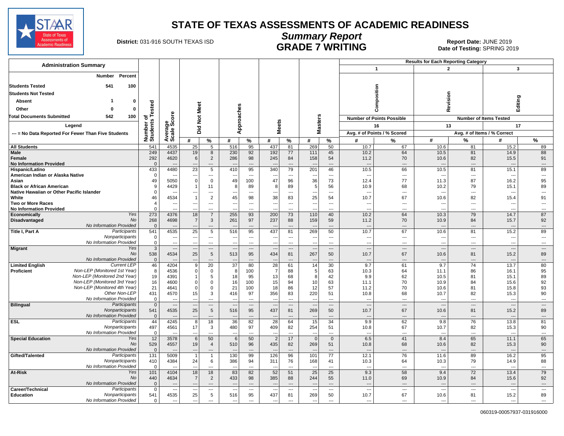

#### **Summary Report** District: 031-916 SOUTH TEXAS ISD **COMMANO COMPLIES ON BEAR COMPLIES**<br>Date of Testing: SPRING 2019 **GRADE 7 WRITING**

Date of Testing: SPRING 2019

| <b>Administration Summary</b>                                           |                       |                                           |                                      |                          |                          |                                 |                                |                                |                                 |                              |                                  |                                  | <b>Results for Each Reporting Category</b> |                                |                                  |                                  |
|-------------------------------------------------------------------------|-----------------------|-------------------------------------------|--------------------------------------|--------------------------|--------------------------|---------------------------------|--------------------------------|--------------------------------|---------------------------------|------------------------------|----------------------------------|----------------------------------|--------------------------------------------|--------------------------------|----------------------------------|----------------------------------|
|                                                                         |                       |                                           |                                      |                          |                          |                                 |                                |                                |                                 |                              |                                  | $\mathbf{1}$                     | $\overline{2}$                             |                                | 3                                |                                  |
| Percent<br>Number                                                       |                       |                                           |                                      |                          |                          |                                 |                                |                                |                                 |                              |                                  |                                  |                                            |                                |                                  |                                  |
| <b>Students Tested</b><br>541                                           | 100                   |                                           |                                      |                          |                          |                                 |                                |                                |                                 |                              |                                  |                                  |                                            |                                |                                  |                                  |
| <b>Students Not Tested</b>                                              |                       |                                           |                                      |                          |                          |                                 |                                |                                |                                 |                              |                                  | Composition                      |                                            |                                |                                  |                                  |
| Absent                                                                  | 0                     |                                           |                                      |                          |                          |                                 |                                |                                |                                 |                              |                                  |                                  | Revision                                   |                                |                                  | Editing                          |
| Other<br>0                                                              | ested<br>$\mathbf{0}$ |                                           |                                      | Meet                     |                          |                                 |                                |                                |                                 |                              |                                  |                                  |                                            |                                |                                  |                                  |
| <b>Total Documents Submitted</b><br>542                                 | 100                   |                                           |                                      |                          |                          |                                 |                                |                                |                                 |                              |                                  |                                  |                                            |                                |                                  |                                  |
|                                                                         | ъ                     | ige<br>Score                              |                                      | $\frac{5}{2}$            |                          | Approaches                      |                                |                                | sters                           |                              |                                  | <b>Number of Points Possible</b> |                                            |                                | <b>Number of Items Tested</b>    |                                  |
| Legend                                                                  |                       |                                           |                                      | Did                      |                          |                                 | <b>Meets</b>                   |                                | 울                               |                              |                                  | 16                               | 13                                         |                                | 17                               |                                  |
| --- = No Data Reported For Fewer Than Five Students                     | Number of<br>Students | Averag<br>Scale                           |                                      |                          |                          |                                 |                                |                                |                                 |                              |                                  | Avg. # of Points / % Scored      |                                            |                                | Avg. # of Items / % Correct      |                                  |
|                                                                         |                       |                                           | #                                    | %                        | #                        | %                               | #                              | %                              | #                               | %                            | #                                | %                                | #                                          | ℅                              | #                                | %                                |
| <b>All Students</b><br><b>Male</b>                                      | 541<br>249            | 4535<br>4437                              | 25<br>19                             | 5<br>8                   | 516<br>230               | 95<br>92                        | 437<br>192                     | 81<br>77                       | 269<br>111                      | 50<br>45                     | 10.7<br>10.2                     | 67<br>64                         | 10.6<br>10.5                               | 81<br>81                       | 15.2<br>14.9                     | 89<br>88                         |
| Female                                                                  | 292                   | 4620                                      | 6                                    | $\overline{2}$           | 286                      | 98                              | 245                            | 84                             | 158                             | 54                           | 11.2                             | 70                               | 10.6                                       | 82                             | 15.5                             | 91                               |
| <b>No Information Provided</b>                                          |                       | $\Omega$<br>$\overline{\phantom{a}}$      | $\overline{\phantom{a}}$             | $---$                    | $\sim$                   | $---$                           | <b>.</b>                       | $---$                          | $\overline{a}$                  | $---$                        | ---                              | $---$                            | $\overline{\phantom{a}}$                   | $---$                          | $---$                            | $---$                            |
| Hispanic/Latino                                                         | 433                   | 4480                                      | $\overline{23}$                      | 5                        | 410                      | 95                              | 340                            | 79                             | 201                             | 46                           | 10.5                             | 66                               | 10.5                                       | 81                             | 15.1                             | 89                               |
| American Indian or Alaska Native<br>Asian                               | $\Omega$<br>49        | $\overline{\phantom{a}}$<br>5050          | $\overline{\phantom{a}}$<br>$\Omega$ | ---<br>$\mathbf 0$       | 49                       | $\hspace{0.05cm} \ldots$<br>100 | $\overline{\phantom{a}}$<br>47 | $\hspace{0.05cm} \ldots$<br>96 | $\overline{\phantom{a}}$<br>36  | $\qquad \qquad \cdots$<br>73 | ---<br>12.4                      | $\overline{\phantom{a}}$<br>77   | $\overline{\phantom{a}}$<br>11.3           | $\hspace{0.05cm} \ldots$<br>87 | $\overline{\phantom{a}}$<br>16.2 | $\scriptstyle\cdots$<br>95       |
| <b>Black or African American</b>                                        | <sub>9</sub>          | 4429                                      |                                      | 11                       |                          | 89                              | 8                              | 89                             | 5                               | 56                           | 10.9                             | 68                               | 10.2                                       | 79                             | 15.1                             | 89                               |
| Native Hawaiian or Other Pacific Islander                               |                       | $\Omega$                                  |                                      | $\overline{a}$           |                          | $\overline{a}$                  |                                | ---                            |                                 | $\overline{\phantom{a}}$     | ---                              | $\overline{a}$                   |                                            | $\overline{a}$                 | $\overline{a}$                   | ---                              |
| White                                                                   | 46                    | 4534                                      |                                      | $\overline{2}$           | 45                       | 98                              | 38                             | 83                             | 25                              | 54                           | 10.7                             | 67                               | 10.6                                       | 82                             | 15.4                             | 91                               |
| <b>Two or More Races</b><br><b>No Information Provided</b>              |                       | Δ<br>$\overline{\phantom{a}}$<br>$\Omega$ | $\overline{\phantom{a}}$             | $---$<br>$\overline{a}$  | $\overline{\phantom{a}}$ | $---$<br>$\sim$                 | $\overline{\phantom{a}}$       | $---$<br>$\overline{a}$        | $\overline{\phantom{a}}$        | $---$<br>$\overline{a}$      | ---<br>$\overline{a}$            | $\overline{a}$<br>$\overline{a}$ | $\overline{\phantom{a}}$                   | $\sim$<br>$\overline{a}$       | $\overline{a}$<br>$\sim$         | $\overline{a}$<br>$\overline{a}$ |
| Economically                                                            | <b>Yes</b><br>273     | 4376                                      | 18                                   | $\overline{7}$           | 255                      | 93                              | 200                            | 73                             | 110                             | 40                           | 10.2                             | 64                               | 10.3                                       | 79                             | 14.7                             | 87                               |
| Disadvantaged                                                           | <b>No</b><br>268      | 4698                                      |                                      | 3                        | 261                      | 97                              | 237                            | 88                             | 159                             | 59                           | 11.2                             | 70                               | 10.9                                       | 84                             | 15.7                             | 92                               |
| No Information Provided                                                 | $\Omega$              |                                           |                                      | ---                      |                          | $---$                           |                                |                                | $\overline{\phantom{a}}$        | ---                          | $\overline{\phantom{a}}$         | $\overline{\phantom{a}}$         |                                            | ---                            | $\overline{a}$                   | $---$                            |
| Title I, Part A<br>Participants<br>Nonparticipants                      | 541                   | 4535<br>$\mathbf 0$<br>---                | 25<br>$\overline{\phantom{a}}$       | 5<br>$\overline{a}$      | 516                      | 95<br>$\overline{a}$            | 437<br>ь.                      | 81<br>$\overline{a}$           | 269<br>$\overline{\phantom{a}}$ | 50<br>$\ldots$               | 10.7<br>---                      | 67<br>$\overline{\phantom{a}}$   | 10.6<br>---                                | 81<br>$\overline{\phantom{a}}$ | 15.2<br>---                      | 89<br>$\overline{a}$             |
| No Information Provided                                                 |                       | $\Omega$<br>$\overline{\phantom{a}}$      | н.                                   | $\hspace{0.05cm} \ldots$ | $\overline{\phantom{a}}$ | $\overline{a}$                  | $\overline{\phantom{a}}$       | $\hspace{0.05cm} \ldots$       | $\overline{\phantom{a}}$        | $\ldots$                     |                                  | $\overline{a}$                   | $\overline{\phantom{a}}$                   | $\sim$                         | $\overline{a}$                   | ---                              |
| <b>Migrant</b>                                                          | Yes                   | $\overline{3}$<br>$\qquad \qquad \cdots$  | $\overline{\phantom{a}}$             | $\overline{a}$           | $\sim$                   | $\overline{\phantom{a}}$        | $\sim$                         | $\overline{\phantom{a}}$       | $\overline{\phantom{a}}$        | $---$                        | $\overline{a}$                   | $\overline{\phantom{a}}$         | $\sim$                                     | $---$                          | $\overline{\phantom{a}}$         | $\overline{\phantom{a}}$         |
|                                                                         | 538<br>No             | 4534                                      | 25                                   | 5                        | 513                      | 95                              | 434                            | 81                             | 267                             | 50                           | 10.7                             | 67                               | 10.6                                       | 81                             | 15.2                             | 89                               |
| No Information Provided<br><b>Current LEP</b><br><b>Limited English</b> | 46                    | $\mathbf 0$<br>4204                       | -<br><sub>9</sub>                    | $---$<br>$\overline{20}$ | $\overline{37}$          | $\overline{a}$<br>80            | $\overline{28}$                | $\overline{a}$<br>61           | 14                              | $---$<br>30                  | $\overline{a}$<br>9.7            | $---$<br>61                      | $\sim$<br>9.7                              | $---$<br>$\overline{74}$       | $\overline{a}$<br>13.7           | $---$<br>80                      |
| Non-LEP (Monitored 1st Year)<br>Proficient                              |                       | 8<br>4536                                 |                                      | 0                        | 8                        | 100                             | -7                             | 88                             | 5                               | 63                           | 10.3                             | 64                               | 11.1                                       | 86                             | 16.1                             | 95                               |
| Non-LEP (Monitored 2nd Year)                                            | 19                    | 4391                                      |                                      | 5                        | 18                       | 95                              | 13                             | 68                             | 8                               | 42                           | 9.9                              | 62                               | 10.5                                       | 81                             | 15.1                             | 89                               |
| Non-LEP (Monitored 3rd Year)                                            | 16                    | 4600                                      | $\Omega$                             | $\Omega$                 | 16                       | 100                             | 15                             | 94                             | 10                              | 63                           | 11.1                             | 70                               | 10.9                                       | 84                             | 15.6                             | 92                               |
| Non-LEP (Monitored 4th Year)<br>Other Non-LEP                           | 21<br>431             | 4641<br>4570                              | $\Omega$<br>15                       | $\mathbf 0$<br>3         | 21<br>416                | 100<br>97                       | 18<br>356                      | 86<br>83                       | 12<br>220                       | 57<br>51                     | 11.2<br>10.8                     | 70<br>68                         | 10.6<br>10.7                               | 81<br>82                       | 15.8<br>15.3                     | 93<br>90                         |
| No Information Provided                                                 |                       | $\mathbf 0$<br>---                        | $\sim$                               | $---$                    |                          | $\sim$                          | --                             | $---$                          | $\overline{\phantom{a}}$        | $---$                        | ---                              | $\overline{a}$                   | $\overline{a}$                             | $\overline{\phantom{a}}$       | $\overline{\phantom{a}}$         | $\cdots$                         |
| Participants<br><b>Bilingual</b>                                        |                       | $\overline{0}$<br>$---$                   | $\overline{\phantom{a}}$             | $---$                    | $\sim$                   | $---$                           | --                             | $---$                          | $\overline{\phantom{a}}$        | $---$                        | $\overline{a}$                   | $---$                            | $\overline{\phantom{a}}$                   | $---$                          | $---$                            | $---$                            |
| Nonparticipants                                                         | 541                   | 4535                                      | 25                                   | 5                        | 516                      | 95                              | 437                            | 81                             | 269                             | 50                           | 10.7                             | 67                               | 10.6                                       | 81                             | 15.2                             | 89                               |
| No Information Provided<br><b>ESL</b><br>Participants                   | 44                    | $\mathbf 0$<br>4245                       | $\overline{\phantom{a}}$<br>8        | $---$<br>18              | $\overline{36}$          | $---$<br>82                     | 28                             | $---$<br>64                    | 15                              | $---$<br>34                  | $\overline{\phantom{a}}$<br>9.9  | ---<br>62                        | $\overline{\phantom{a}}$<br>9.8            | $\overline{\phantom{a}}$<br>76 | $\overline{\phantom{a}}$<br>13.8 | ---<br>81                        |
| Nonparticipants                                                         | 497                   | 4561                                      | 17                                   | 3                        | 480                      | 97                              | 409                            | 82                             | 254                             | 51                           | 10.8                             | 67                               | 10.7                                       | 82                             | 15.3                             | 90                               |
| No Information Provided                                                 |                       | $\Omega$                                  |                                      | ---                      |                          | $\overline{a}$                  |                                | $---$                          |                                 | $\cdots$                     | $\overline{a}$                   | $---$                            |                                            | $---$                          | $\overline{a}$                   | ---                              |
| <b>Special Education</b>                                                | 12<br>Yes             | 3578                                      | 6                                    | 50                       | 6                        | 50                              | $\overline{2}$                 | 17                             | $\overline{0}$                  | $\mathbf 0$                  | 6.5                              | 41                               | 8.4                                        | 65                             | 11.1                             | 65                               |
| No Information Provided                                                 | 529<br>No             | 4557<br>$\mathbf{0}$                      | 19<br>--                             | $\overline{4}$<br>$---$  | 510                      | 96<br>$---$                     | 435                            | 82<br>$\overline{a}$           | 269                             | 51<br>$---$                  | 10.8<br>---                      | 68<br>$---$                      | 10.6                                       | 82<br>$\overline{\phantom{a}}$ | 15.3<br>$\overline{a}$           | 90<br>$\overline{a}$             |
| Gifted/Talented<br>Participants                                         | 131                   | 5009                                      |                                      | $\mathbf{1}$             | 130                      | 99                              | 126                            | 96                             | 101                             | 77                           | 12.1                             | 76                               | 11.6                                       | 89                             | 16.2                             | 95                               |
| Nonparticipants                                                         | 410                   | 4384                                      | 24                                   | 6                        | 386                      | 94                              | 311                            | 76                             | 168                             | 41                           | 10.3                             | 64                               | 10.3                                       | 79                             | 14.9                             | 88                               |
| No Information Provided                                                 |                       | $\mathbf 0$<br>$\overline{a}$             | $\overline{\phantom{a}}$             | $\overline{a}$           |                          | $\overline{a}$                  |                                | $\overline{a}$                 | $\overline{\phantom{a}}$        | $\overline{\phantom{a}}$     | $\overline{\phantom{a}}$         | $\overline{a}$                   | ---                                        | $\overline{a}$                 | $\overline{a}$                   | $\overline{a}$                   |
| At-Risk                                                                 | 101<br>Yes<br>No      | 4104                                      | 18                                   | 18<br>$\overline{2}$     | 83                       | 82                              | 52                             | 51                             | 25<br>244                       | 25                           | 9.3                              | 58                               | 9.4                                        | 72<br>84                       | 13.4                             | 79<br>92                         |
| No Information Provided                                                 | 440                   | 4634<br>$\mathbf{0}$                      |                                      | $\hspace{1.5cm} \cdots$  | 433                      | 98<br>$\hspace{0.05cm} \ldots$  | 385                            | 88<br>$\cdots$                 |                                 | 55<br>$\cdots$               | 11.0<br>$\overline{\phantom{a}}$ | 69<br>$\overline{\phantom{a}}$   | 10.9<br>$\overline{\phantom{a}}$           | $\hspace{0.05cm} \ldots$       | 15.6<br>---                      | ---                              |
| Career/Technical<br>Participants                                        |                       | $\overline{0}$<br>---                     |                                      | $\hspace{0.05cm} \ldots$ |                          | $\overline{\phantom{a}}$        |                                | ---                            | $\overline{a}$                  | $\overline{\phantom{a}}$     | $\overline{a}$                   | $\overline{a}$                   | $\overline{a}$                             | $\sim$                         | $\overline{\phantom{a}}$         | $\overline{\phantom{a}}$         |
| Education<br>Nonparticipants                                            | 541                   | 4535                                      | 25                                   | 5                        | 516                      | 95                              | 437                            | 81                             | 269                             | 50                           | 10.7                             | 67                               | 10.6                                       | 81                             | 15.2                             | 89                               |
| No Information Provided                                                 |                       | $\mathbf 0$<br>$\overline{a}$             | $---$                                | $---$                    | $\overline{\phantom{a}}$ | $\overline{\phantom{a}}$        | $\sim$                         | $---$                          | $\overline{a}$                  | $\sim$                       | ---                              | $---$                            | $\overline{\phantom{a}}$                   | $---$                          | $---$                            | $---$                            |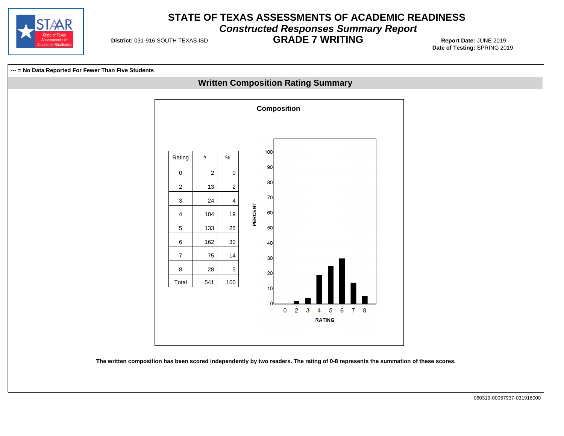

### **STATE OF TEXAS ASSESSMENTS OF ACADEMIC READINESS Constructed Responses Summary Report**

**District: 031-916 SOUTH TEXAS ISD** 

# **GRADE 7 WRITING** 031-916 SOUTH TEXAS ISD **Report Date:** JUNE 2019

**Date of Testing:**  SPRING 2019

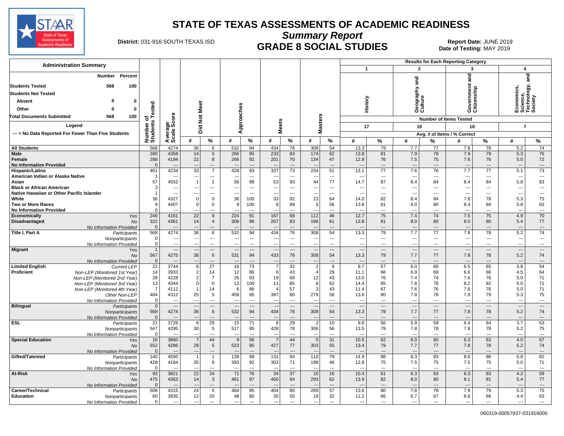

**Summary Report**

# **District: 031-916 SOUTH TEXAS ISD <b>GRADE 8 SOCIAL STUDIES** Report Date: JUNE 2019

Date of Testing: MAY 2019

| <b>Administration Summary</b>                                              |                            |                                  |                                  |                                   |                                 |                          |                                    |                                             |                                            | <b>Results for Each Reporting Category</b> |                                  |                                |                                 |                                  |                                     |                          |                                                  |                                   |
|----------------------------------------------------------------------------|----------------------------|----------------------------------|----------------------------------|-----------------------------------|---------------------------------|--------------------------|------------------------------------|---------------------------------------------|--------------------------------------------|--------------------------------------------|----------------------------------|--------------------------------|---------------------------------|----------------------------------|-------------------------------------|--------------------------|--------------------------------------------------|-----------------------------------|
|                                                                            |                            |                                  |                                  |                                   |                                 |                          |                                    |                                             |                                            |                                            | $\mathbf{1}$                     |                                |                                 | $\mathbf{2}$                     | 3                                   |                          |                                                  | 4                                 |
| Percent<br>Number<br>100<br><b>Students Tested</b><br>568                  |                            |                                  |                                  |                                   |                                 |                          |                                    |                                             |                                            |                                            |                                  |                                | ក្ត                             |                                  | ਠ<br>듦<br>Government<br>Citizenship |                          |                                                  | ਠ<br>등                            |
| <b>Students Not Tested</b>                                                 |                            |                                  |                                  |                                   |                                 |                          |                                    |                                             |                                            |                                            |                                  |                                |                                 |                                  |                                     |                          |                                                  |                                   |
| <b>Absent</b><br>0<br>0                                                    |                            |                                  |                                  |                                   |                                 |                          |                                    |                                             |                                            |                                            | History                          |                                | Geography<br>Culture            |                                  |                                     |                          | Economics,<br>Science,<br>Technology,<br>Society | cience,<br>echnology,<br>ociety   |
|                                                                            |                            |                                  |                                  |                                   |                                 |                          |                                    |                                             |                                            |                                            |                                  |                                |                                 |                                  |                                     |                          |                                                  |                                   |
| Other<br>$\Omega$<br>ŋ                                                     | Tested                     |                                  |                                  |                                   |                                 |                          |                                    |                                             |                                            |                                            |                                  |                                |                                 |                                  |                                     |                          |                                                  |                                   |
| 100<br><b>Total Documents Submitted</b><br>568                             | ৳                          |                                  |                                  |                                   |                                 |                          |                                    |                                             |                                            |                                            |                                  |                                |                                 |                                  | <b>Number of Items Tested</b>       |                          |                                                  |                                   |
| Legend                                                                     |                            |                                  |                                  | Did Not Meet                      |                                 | Approaches               | <b>Meets</b>                       |                                             | <b>Masters</b>                             |                                            | 17                               |                                |                                 | 10                               | 10                                  |                          |                                                  | $\overline{7}$                    |
| --- = No Data Reported For Fewer Than Five Students                        |                            |                                  |                                  |                                   |                                 |                          |                                    |                                             |                                            |                                            |                                  |                                |                                 |                                  | Avg. # of Items / % Correct         |                          |                                                  |                                   |
|                                                                            | Number of<br>Students      | Average<br>Scale Score           | #                                | ℅                                 | #                               | %                        | #                                  | %                                           | #                                          | %                                          | #                                | %                              | #                               | %                                | #                                   | ℅                        | #                                                | %                                 |
| <b>All Students</b>                                                        | 568                        | 4274                             | 36                               | 6                                 | 532                             | 94                       | 434                                | 76                                          | 308                                        | 54                                         | 13.3                             | 79                             | 7.7                             | 77                               | 7.8                                 | 78                       | 5.2                                              | 74                                |
| <b>Male</b>                                                                | 280                        | 4358                             | 14                               | 5                                 | 266                             | 95                       | 233                                | 83                                          | 174                                        | 62                                         | 13.8                             | 81                             | 7.9                             | 79                               | 7.9                                 | 79                       | 5.3                                              | 76                                |
| Female                                                                     | 288                        | 4194                             | 22                               | 8                                 | 266                             | 92                       | 201                                | 70                                          | 134                                        | 47                                         | 12.9                             | 76                             | 7.5                             | 75                               | 7.6                                 | 76                       | 5.0                                              | 72                                |
| <b>No Information Provided</b>                                             | $\overline{0}$             |                                  |                                  | $\overline{\phantom{a}}$          |                                 | $\overline{a}$           |                                    | $\overline{\phantom{a}}$                    |                                            | $\overline{a}$                             |                                  | $\overline{\phantom{a}}$       | ÷÷                              | ---                              | $\overline{\phantom{a}}$            | $---$                    | $\overline{a}$                                   | $\overline{\phantom{a}}$          |
| Hispanic/Latino<br>American Indian or Alaska Native                        | 461<br>-1                  | 4234                             | $\overline{33}$                  | $\overline{7}$<br>$\overline{a}$  | 428<br>--                       | 93<br>$\overline{a}$     | 337                                | $\overline{73}$<br>$\overline{\phantom{a}}$ | 234                                        | 51<br>$\sim$                               | 13.1                             | 77<br>$\overline{a}$           | 7.6<br>Ξ.                       | 76<br>---                        | 7.7<br>$\overline{\phantom{a}}$     | $\overline{77}$<br>---   | 5.1<br>$\overline{a}$                            | $\overline{73}$<br>$\overline{a}$ |
| Asian                                                                      | 57                         | 4552                             | $\overline{1}$                   | $\overline{2}$                    | 56                              | 98                       | 53                                 | 93                                          | $\overline{\phantom{a}}$<br>44             | 77                                         | 14.7                             | 87                             | 8.4                             | 84                               | 8.4                                 | 84                       | 5.8                                              | 83                                |
| <b>Black or African American</b>                                           | 3                          | --                               | ---                              | $---$                             | ---                             | $\sim$                   | $\overline{\phantom{a}}$           | $\sim$                                      | $\overline{\phantom{a}}$                   | $---$                                      | $\sim$                           | $\overline{a}$                 | ---                             | ---                              | $\overline{\phantom{a}}$            | $\overline{a}$           | $\overline{a}$                                   | $---$                             |
| Native Hawaiian or Other Pacific Islander                                  | $\mathbf 1$                | --                               | ---                              | $\overline{\phantom{a}}$          | ---                             | $\overline{a}$           | ---                                | $---$                                       | ---                                        | $---$                                      | ---                              | $---$                          | ---                             | ---                              | $\overline{\phantom{a}}$            | $\overline{a}$           | $\overline{a}$                                   | $\overline{a}$                    |
| White                                                                      | 36                         | 4327                             | $\mathbf 0$                      | $\mathbf 0$                       | 36                              | 100                      | 33                                 | 92                                          | 23                                         | 64                                         | 14.0                             | 82                             | 8.4                             | 84                               | 7.8                                 | 78                       | 5.3                                              | 75                                |
| <b>Two or More Races</b><br><b>No Information Provided</b>                 | 9<br>$\Omega$              | 4407<br>$\overline{\phantom{a}}$ | $\mathbf 0$<br>---               | $\mathbf 0$<br>$\overline{a}$     | 9<br>---                        | 100<br>---               | 8<br>$\overline{a}$                | 89<br>$\overline{\phantom{a}}$              | $\sqrt{5}$<br>$\overline{a}$               | 56<br>$\sim$                               | 13.8<br>$\overline{\phantom{a}}$ | 81<br>---                      | 8.0<br>$\overline{\phantom{a}}$ | 80<br>---                        | 8.4<br>$\overline{\phantom{a}}$     | 84<br>---                | 5.8<br>$\overline{a}$                            | 83<br>$\sim$ $\sim$               |
| Economically<br>Yes                                                        | 246                        | 4161                             | $\overline{22}$                  | 9                                 | 224                             | 91                       | 167                                | 68                                          | 112                                        | 46                                         | 12.7                             | 75                             | 7.4                             | 74                               | 7.5                                 | 75                       | 4.9                                              | 70                                |
| Disadvantaged<br>No                                                        | 322                        | 4361                             | 14                               | 4                                 | 308                             | 96                       | 267                                | 83                                          | 196                                        | 61                                         | 13.8                             | 81                             | 8.0                             | 80                               | 8.0                                 | 80                       | 5.4                                              | 77                                |
| No Information Provided                                                    | $\Omega$                   |                                  |                                  | $---$                             |                                 | $\overline{a}$           |                                    | $---$                                       |                                            | $\overline{a}$                             |                                  | $\overline{a}$                 | ---                             | $\overline{a}$                   | $\overline{\phantom{a}}$            | $\overline{\phantom{a}}$ |                                                  | $\overline{\phantom{a}}$          |
| Title I, Part A<br>Participants                                            | 568                        | 4274                             | 36                               | 6                                 | 532                             | 94                       | 434                                | 76                                          | 308                                        | 54                                         | 13.3                             | 79                             | 7.7                             | 77                               | 7.8                                 | 78                       | 5.2                                              | 74                                |
| Nonparticipants                                                            | $\mathbf 0$<br>$\mathbf 0$ | ---<br>---                       | ---<br>$\overline{a}$            | $---$<br>$\overline{\phantom{a}}$ | $\overline{\phantom{a}}$<br>--- | $---$<br>$\overline{a}$  | $\overline{\phantom{a}}$<br>$\sim$ | $-$<br>$\overline{\phantom{a}}$             | $\overline{\phantom{a}}$<br>$\overline{a}$ | $---$<br>$\overline{a}$                    | $---$<br>$\overline{a}$          | $---$<br>$\overline{a}$        | $\overline{\phantom{a}}$<br>--- | $\overline{a}$<br>$\overline{a}$ | $\sim$<br>$\overline{\phantom{a}}$  | $---$<br>---             | $\overline{a}$<br>$\overline{a}$                 | $\sim$<br>$\overline{a}$          |
| No Information Provided<br><b>Migrant</b><br>Yes                           | $\overline{1}$             | $\overline{\phantom{a}}$         | ---                              | $\overline{\phantom{a}}$          | ---                             | $\cdots$                 | $\overline{\phantom{a}}$           | $\qquad \qquad \cdots$                      | $\overline{\phantom{a}}$                   | $\cdots$                                   | $\overline{a}$                   | $\overline{\phantom{a}}$       | $\overline{\phantom{a}}$        | ---                              | $\hspace{0.05cm} \ldots$            | $\overline{\phantom{a}}$ | $\overline{\phantom{a}}$                         | $\hspace{0.05cm}\ldots$           |
| No                                                                         | 567                        | 4275                             | 36                               | 6                                 | 531                             | 94                       | 433                                | 76                                          | 308                                        | 54                                         | 13.3                             | 79                             | 7.7                             | 77                               | 7.8                                 | 78                       | 5.2                                              | 74                                |
| No Information Provided                                                    | $\mathbf 0$                |                                  |                                  | ---                               |                                 | $\overline{a}$           |                                    |                                             | $\overline{\phantom{a}}$                   | $\overline{\phantom{a}}$                   |                                  | $\overline{a}$                 | ---                             | ---                              | $\overline{\phantom{a}}$            | $\overline{a}$           | $\overline{\phantom{a}}$                         | ---                               |
| <b>Limited English</b><br><b>Current LEP</b>                               | 22                         | 3744                             | $6\phantom{1}6$                  | 27                                | 16                              | 73                       | $\overline{7}$                     | 32                                          | $\overline{c}$                             | 9                                          | 9.7                              | 57                             | 6.0                             | 60                               | 6.5                                 | 65                       | 3.8                                              | 54                                |
| Proficient<br>Non-LEP (Monitored 1st Year)<br>Non-LEP (Monitored 2nd Year) | 14<br>28                   | 3933<br>4228                     | $\overline{2}$<br>$\overline{2}$ | 14<br>$\overline{7}$              | 12<br>26                        | 86<br>93                 | 6<br>19                            | 43<br>68                                    | $\overline{4}$<br>12                       | 29<br>43                                   | 11.1<br>13.0                     | 66<br>76                       | 6.9<br>7.4                      | 69<br>74                         | 6.6<br>7.6                          | 66<br>76                 | 4.5<br>5.0                                       | 64<br>71                          |
| Non-LEP (Monitored 3rd Year)                                               | 13                         | 4344                             | $\overline{0}$                   | $\mathbf 0$                       | 13                              | 100                      | 11                                 | 85                                          | 8                                          | 62                                         | 14.4                             | 85                             | 7.8                             | 78                               | 8.2                                 | 82                       | 5.0                                              | 71                                |
| Non-LEP (Monitored 4th Year)                                               | $\overline{7}$             | 4112                             | $\overline{1}$                   | 14                                | 6                               | 86                       | $\boldsymbol{\Lambda}$             | 57                                          | $\mathbf{3}$                               | 43                                         | 11.4                             | 67                             | 7.6                             | 76                               | 7.6                                 | 76                       | 5.0                                              | 71                                |
| Other Non-LEP                                                              | 484                        | 4312                             | 25                               | 5                                 | 459                             | 95                       | 387                                | 80                                          | 279                                        | 58                                         | 13.6                             | 80                             | 7.8                             | 78                               | 7.9                                 | 79                       | 5.3                                              | 75                                |
| No Information Provided                                                    | $\mathbf 0$                | --                               | ---                              | $\cdots$                          | --                              | ---                      | $\overline{\phantom{a}}$           | $---$                                       | $\scriptstyle\cdots$                       | $\overline{\phantom{a}}$                   | ---                              | $\overline{a}$                 | ---                             | ---                              | $\overline{\phantom{a}}$            | ---                      | $\overline{\phantom{a}}$                         | $\cdots$                          |
| <b>Bilingual</b><br>Participants                                           | $\mathbf 0$<br>568         | <br>4274                         | $\overline{a}$<br>36             | $\overline{\phantom{a}}$<br>6     | $\overline{\phantom{a}}$<br>532 | $\overline{a}$<br>94     | $\sim$<br>434                      | $---$<br>76                                 | $\overline{\phantom{a}}$<br>308            | $\overline{\phantom{a}}$<br>54             | $\overline{\phantom{a}}$<br>13.3 | $\overline{\phantom{a}}$<br>79 | $\overline{\phantom{a}}$<br>7.7 | ---<br>77                        | $\overline{\phantom{a}}$<br>7.8     | $---$<br>78              | $\overline{a}$<br>5.2                            | $\overline{\phantom{a}}$<br>74    |
| Nonparticipants<br>No Information Provided                                 | $\mathbf 0$                |                                  | $\overline{\phantom{a}}$         | $---$                             | $\overline{\phantom{a}}$        | $\sim$                   | $\overline{\phantom{a}}$           | $---$                                       | $\overline{\phantom{a}}$                   | $\overline{a}$                             |                                  | $\overline{a}$                 | ---                             | ---                              | $\overline{\phantom{a}}$            | $---$                    | $\overline{a}$                                   | $\hspace{0.05cm} \ldots$          |
| <b>ESL</b><br>Participants                                                 | 21                         | 3729                             | 6                                | 29                                | 15                              | 71                       | 6                                  | 29                                          | $\overline{2}$                             | 10                                         | 9.6                              | 56                             | 5.9                             | 59                               | 6.4                                 | 64                       | 3.7                                              | 53                                |
| Nonparticipants                                                            | 547                        | 4295                             | 30                               | 5                                 | 517                             | 95                       | 428                                | 78                                          | 306                                        | 56                                         | 13.5                             | 79                             | 7.8                             | 78                               | 7.8                                 | 78                       | 5.2                                              | 75                                |
| No Information Provided                                                    | 0                          |                                  | $\overline{a}$<br>$\overline{7}$ | $\overline{a}$<br>44              | $\overline{a}$                  | $\overline{a}$           | $\sim$<br>$\overline{7}$           | $\overline{\phantom{a}}$<br>44              | $\overline{\phantom{a}}$<br>5              | $\overline{a}$                             | $\overline{a}$                   | $\overline{\phantom{a}}$<br>62 | ---<br>6.0                      | ---<br>60                        | $\overline{\phantom{a}}$            | $\overline{a}$<br>63     | $\overline{\phantom{a}}$<br>4.0                  | ---<br>57                         |
| <b>Special Education</b><br>Yes<br><b>No</b>                               | 16<br>552                  | 3860<br>4286                     | 29                               | 5                                 | 9<br>523                        | 56<br>95                 | 427                                | 77                                          | 303                                        | 31<br>55                                   | 10.5<br>13.4                     | 79                             | 7.7                             | 77                               | 6.3<br>7.8                          | 78                       | 5.2                                              | 74                                |
| No Information Provided                                                    | $\overline{0}$             |                                  |                                  | $\overline{\phantom{a}}$          |                                 | $\overline{a}$           |                                    | $\overline{\phantom{a}}$                    |                                            | $\overline{a}$                             |                                  | $\overline{a}$                 | $\overline{\phantom{a}}$        | $\overline{a}$                   | $\overline{\phantom{a}}$            | $\overline{a}$           | $\overline{\phantom{a}}$                         | $\overline{\phantom{a}}$          |
| Gifted/Talented<br>Participants                                            | 140                        | 4550                             |                                  | $\mathbf{1}$                      | 139                             | 99                       | 131                                | 94                                          | 110                                        | 79                                         | 14.9                             | 88                             | 8.3                             | 83                               | 8.6                                 | 86                       | 5.8                                              | 82                                |
| Nonparticipants                                                            | 428                        | 4184                             | 35                               | 8                                 | 393                             | 92                       | 303                                | 71                                          | 198                                        | 46                                         | 12.8                             | 75                             | 7.5                             | 75                               | 7.5                                 | 75                       | 5.0                                              | 71                                |
| No Information Provided                                                    | $\mathbf 0$                | $\overline{\phantom{a}}$         | $\sim$                           | $---$                             | $\overline{a}$                  | $\overline{a}$           | $\sim$                             | $\overline{\phantom{a}}$                    | $\sim$                                     | $---$                                      | $\overline{a}$                   | $\overline{a}$                 | $\sim$                          | ---                              | $-$                                 | $\overline{a}$           | $\overline{a}$                                   | $\sim$                            |
| At-Risk<br>Yes<br>No                                                       | 93<br>475                  | 3821<br>4363                     | 22<br>14                         | 24<br>3                           | 71<br>461                       | 76<br>97                 | 34<br>400                          | 37<br>84                                    | 15<br>293                                  | 16<br>62                                   | 10.4<br>13.9                     | 61<br>82                       | 6.3<br>8.0                      | 63<br>80                         | 6.3<br>8.1                          | 63<br>81                 | 4.2<br>5.4                                       | 59<br>77                          |
| No Information Provided                                                    | $\mathbf 0$                |                                  |                                  | ---                               |                                 |                          |                                    | $\overline{\phantom{a}}$                    |                                            | $\overline{\phantom{a}}$                   |                                  | $\overline{a}$                 | ---                             | ---                              |                                     | ---                      |                                                  | $\overline{a}$                    |
| Career/Technical<br>Participants                                           | 508                        | 4315                             | 24                               | 5                                 | 484                             | 95                       | 404                                | 80                                          | 289                                        | 57                                         | 13.6                             | 80                             | 7.8                             | 78                               | 7.9                                 | 79                       | 5.3                                              | 75                                |
| <b>Education</b><br>Nonparticipants                                        | 60                         | 3935                             | 12                               | 20                                | 48                              | 80                       | 30                                 | 50                                          | 19                                         | 32                                         | 11.2                             | 66                             | 6.7                             | 67                               | 6.6                                 | 66                       | 4.4                                              | 63                                |
| No Information Provided                                                    | $\mathbf 0$                | $\overline{\phantom{a}}$         |                                  | $\overline{a}$                    | ---                             | $\overline{\phantom{a}}$ | $\overline{\phantom{a}}$           | $\sim$                                      | ---                                        | $\sim$                                     | $\sim$                           | $---$                          | ---                             | $\overline{a}$                   | $\sim$                              | $\overline{a}$           | $\overline{a}$                                   | $\overline{a}$                    |